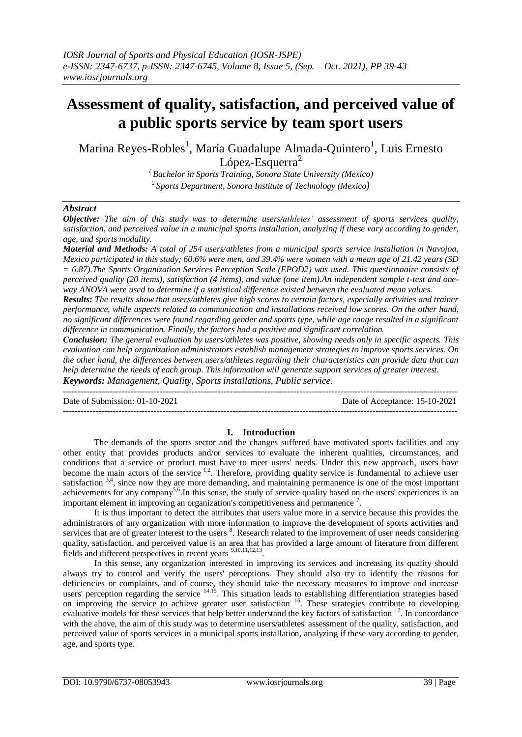# **Assessment of quality, satisfaction, and perceived value of a public sports service by team sport users**

Marina Reyes-Robles<sup>1</sup>, María Guadalupe Almada-Quintero<sup>1</sup>, Luis Ernesto López-Esquerra<sup>2</sup>

*<sup>1</sup>Bachelor in Sports Training, Sonora State University (Mexico) 2 Sports Department, Sonora Institute of Technology (Mexico)*

# *Abstract*

*Objective: The aim of this study was to determine users/athletes' assessment of sports services quality, satisfaction, and perceived value in a municipal sports installation, analyzing if these vary according to gender, age, and sports modality.*

*Material and Methods: A total of 254 users/athletes from a municipal sports service installation in Navojoa, Mexico participated in this study; 60.6% were men, and 39.4% were women with a mean age of 21.42 years (SD = 6.87).The Sports Organization Services Perception Scale (EPOD2) was used. This questionnaire consists of perceived quality (20 items), satisfaction (4 items), and value (one item).An independent sample t-test and oneway ANOVA were used to determine if a statistical difference existed between the evaluated mean values.*

*Results: The results show that users/athletes give high scores to certain factors, especially activities and trainer performance, while aspects related to communication and installations received low scores. On the other hand, no significant differences were found regarding gender and sports type, while age range resulted in a significant difference in communication. Finally, the factors had a positive and significant correlation.*

*Conclusion: The general evaluation by users/athletes was positive, showing needs only in specific aspects. This evaluation can help organization administrators establish management strategies to improve sports services. On the other hand, the differences between users/athletes regarding their characteristics can provide data that can help determine the needs of each group. This information will generate support services of greater interest. Keywords: Management, Quality, Sports installations, Public service.*

--------------------------------------------------------------------------------------------------------------------------------------- Date of Submission: 01-10-2021 Date of Acceptance: 15-10-2021 ---------------------------------------------------------------------------------------------------------------------------------------

# **I. Introduction**

The demands of the sports sector and the changes suffered have motivated sports facilities and any other entity that provides products and/or services to evaluate the inherent qualities, circumstances, and conditions that a service or product must have to meet users' needs. Under this new approach, users have become the main actors of the service <sup>1,2</sup>. Therefore, providing quality service is fundamental to achieve user satisfaction  $3,4$ , since now they are more demanding, and maintaining permanence is one of the most important achievements for any company<sup>5,6</sup>. In this sense, the study of service quality based on the users' experiences is an important element in improving an organization's competitiveness and permanence <sup>7</sup> .

It is thus important to detect the attributes that users value more in a service because this provides the administrators of any organization with more information to improve the development of sports activities and services that are of greater interest to the users <sup>8</sup>. Research related to the improvement of user needs considering quality, satisfaction, and perceived value is an area that has provided a large amount of literature from different fields and different perspectives in recent years <sup>9,10,11,12,13</sup>.

In this sense, any organization interested in improving its services and increasing its quality should always try to control and verify the users' perceptions. They should also try to identify the reasons for deficiencies or complaints, and of course, they should take the necessary measures to improve and increase users' perception regarding the service <sup>14,15</sup>. This situation leads to establishing differentiation strategies based on improving the service to achieve greater user satisfaction <sup>16</sup>. These strategies contribute to developing evaluative models for these services that help better understand the key factors of satisfaction <sup>17</sup>. In concordance with the above, the aim of this study was to determine users/athletes' assessment of the quality, satisfaction, and perceived value of sports services in a municipal sports installation, analyzing if these vary according to gender, age, and sports type.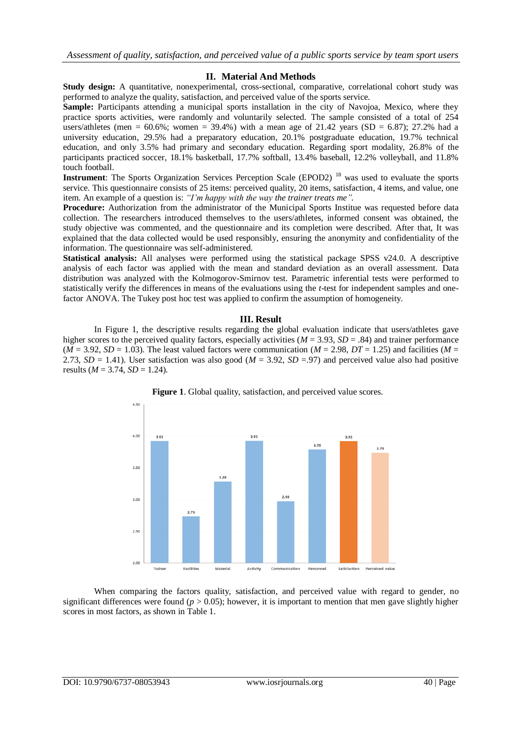# **II. Material And Methods**

Study design: A quantitative, nonexperimental, cross-sectional, comparative, correlational cohort study was performed to analyze the quality, satisfaction, and perceived value of the sports service.

**Sample:** Participants attending a municipal sports installation in the city of Navojoa, Mexico, where they practice sports activities, were randomly and voluntarily selected. The sample consisted of a total of 254 users/athletes (men =  $60.6\%$ ; women =  $39.4\%$ ) with a mean age of 21.42 years (SD = 6.87); 27.2% had a university education, 29.5% had a preparatory education, 20.1% postgraduate education, 19.7% technical education, and only 3.5% had primary and secondary education. Regarding sport modality, 26.8% of the participants practiced soccer, 18.1% basketball, 17.7% softball, 13.4% baseball, 12.2% volleyball, and 11.8% touch football.

**Instrument**: The Sports Organization Services Perception Scale (EPOD2)<sup>18</sup> was used to evaluate the sports service. This questionnaire consists of 25 items: perceived quality, 20 items, satisfaction, 4 items, and value, one item. An example of a question is: *"I'm happy with the way the trainer treats me".*

**Procedure:** Authorization from the administrator of the Municipal Sports Institue was requested before data collection. The researchers introduced themselves to the users/athletes, informed consent was obtained, the study objective was commented, and the questionnaire and its completion were described. After that, It was explained that the data collected would be used responsibly, ensuring the anonymity and confidentiality of the information. The questionnaire was self-administered.

**Statistical analysis:** All analyses were performed using the statistical package SPSS v24.0. A descriptive analysis of each factor was applied with the mean and standard deviation as an overall assessment. Data distribution was analyzed with the Kolmogorov-Smirnov test. Parametric inferential tests were performed to statistically verify the differences in means of the evaluations using the *t*-test for independent samples and onefactor ANOVA. The Tukey post hoc test was applied to confirm the assumption of homogeneity.

### **III. Result**

In Figure 1, the descriptive results regarding the global evaluation indicate that users/athletes gave higher scores to the perceived quality factors, especially activities ( $M = 3.93$ ,  $SD = .84$ ) and trainer performance  $(M = 3.92, SD = 1.03)$ . The least valued factors were communication  $(M = 2.98, DT = 1.25)$  and facilities  $(M = 1.93)$ 2.73,  $SD = 1.41$ ). User satisfaction was also good ( $M = 3.92$ ,  $SD = .97$ ) and perceived value also had positive results ( $M = 3.74$ ,  $SD = 1.24$ ).





When comparing the factors quality, satisfaction, and perceived value with regard to gender, no significant differences were found ( $p > 0.05$ ); however, it is important to mention that men gave slightly higher scores in most factors, as shown in Table 1.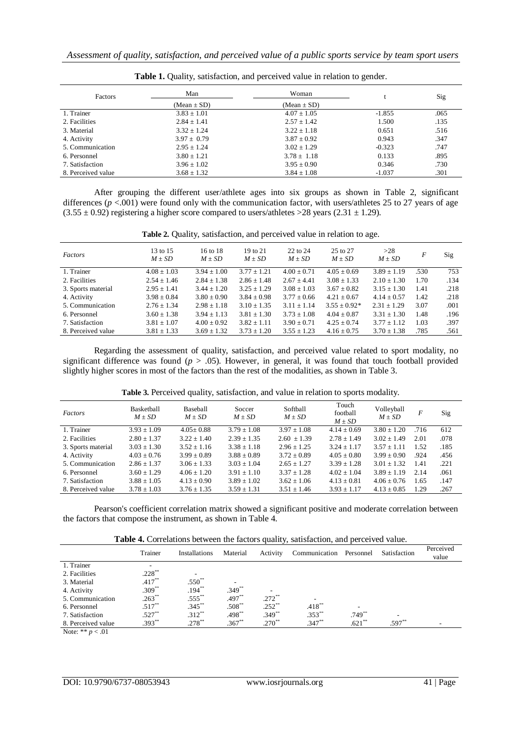| Factors            | Man             | Woman           |          | Sig  |
|--------------------|-----------------|-----------------|----------|------|
|                    | $(Mean \pm SD)$ | $(Mean \pm SD)$ |          |      |
| 1. Trainer         | $3.83 \pm 1.01$ | $4.07 \pm 1.05$ | $-1.855$ | .065 |
| 2. Facilities      | $2.84 \pm 1.41$ | $2.57 \pm 1.42$ | 1.500    | .135 |
| 3. Material        | $3.32 \pm 1.24$ | $3.22 \pm 1.18$ | 0.651    | .516 |
| 4. Activity        | $3.97 \pm 0.79$ | $3.87 \pm 0.92$ | 0.943    | .347 |
| 5. Communication   | $2.95 + 1.24$   | $3.02 \pm 1.29$ | $-0.323$ | .747 |
| 6. Personnel       | $3.80 \pm 1.21$ | $3.78 \pm 1.18$ | 0.133    | .895 |
| 7. Satisfaction    | $3.96 \pm 1.02$ | $3.95 \pm 0.90$ | 0.346    | .730 |
| 8. Perceived value | $3.68 \pm 1.32$ | $3.84 \pm 1.08$ | $-1.037$ | .301 |

**Table 1.** Quality, satisfaction, and perceived value in relation to gender.

After grouping the different user/athlete ages into six groups as shown in Table 2, significant differences  $(p < .001)$  were found only with the communication factor, with users/athletes 25 to 27 years of age  $(3.55 \pm 0.92)$  registering a higher score compared to users/athletes >28 years (2.31  $\pm$  1.29).

|  |  | Table 2. Quality, satisfaction, and perceived value in relation to age. |  |  |  |  |  |  |  |
|--|--|-------------------------------------------------------------------------|--|--|--|--|--|--|--|
|--|--|-------------------------------------------------------------------------|--|--|--|--|--|--|--|

| Factors            | 13 to 15<br>$M \pm SD$ | 16 to 18<br>$M \pm SD$ | 19 to 21<br>$M \pm SD$ | $22$ to $24$<br>$M \pm SD$ | 25 to 27<br>$M \pm SD$ | >28<br>$M \pm SD$ | F    | Sig  |
|--------------------|------------------------|------------------------|------------------------|----------------------------|------------------------|-------------------|------|------|
| 1. Trainer         | $4.08 \pm 1.03$        | $3.94 \pm 1.00$        | $3.77 \pm 1.21$        | $4.00 \pm 0.71$            | $4.05 \pm 0.69$        | $3.89 \pm 1.19$   | .530 | 753  |
| 2. Facilities      | $2.54 \pm 1.46$        | $2.84 + 1.38$          | $2.86 + 1.48$          | $2.67 + 4.41$              | $3.08 \pm 1.33$        | $2.10 + 1.30$     | 1.70 | .134 |
| 3. Sports material | $2.95 \pm 1.41$        | $3.44 \pm 1.20$        | $3.25 + 1.29$          | $3.08 \pm 1.03$            | $3.67 \pm 0.82$        | $3.15 \pm 1.30$   | 1.41 | .218 |
| 4. Activity        | $3.98 \pm 0.84$        | $3.80 \pm 0.90$        | $3.84 \pm 0.98$        | $3.77 \pm 0.66$            | $4.21 \pm 0.67$        | $4.14 \pm 0.57$   | 1.42 | .218 |
| 5. Communication   | $2.76 \pm 1.34$        | $2.98 \pm 1.18$        | $3.10 \pm 1.35$        | $3.11 + 1.14$              | $3.55 \pm 0.92*$       | $2.31 + 1.29$     | 3.07 | .001 |
| 6. Personnel       | $3.60 \pm 1.38$        | $3.94 + 1.13$          | $3.81 + 1.30$          | $3.73 + 1.08$              | $4.04 \pm 0.87$        | $3.31 \pm 1.30$   | 1.48 | .196 |
| 7. Satisfaction    | $3.81 \pm 1.07$        | $4.00 \pm 0.92$        | $3.82 \pm 1.11$        | $3.90 \pm 0.71$            | $4.25 \pm 0.74$        | $3.77 + 1.12$     | 1.03 | .397 |
| 8. Perceived value | $3.81 \pm 1.33$        | $3.69 \pm 1.32$        | $3.73 \pm 1.20$        | $3.55 \pm 1.23$            | $4.16 \pm 0.75$        | $3.70 \pm 1.38$   | .785 | .561 |

Regarding the assessment of quality, satisfaction, and perceived value related to sport modality, no significant difference was found ( $p > .05$ ). However, in general, it was found that touch football provided slightly higher scores in most of the factors than the rest of the modalities, as shown in Table 3.

| Factors            | Basketball<br>$M \pm SD$ | Baseball<br>$M + SD$ | Soccer<br>$M \pm SD$ | Softball<br>$M \pm SD$ | Touch<br>football<br>$M \pm SD$ | Volleyball<br>$M \pm SD$ | F    | Sig  |
|--------------------|--------------------------|----------------------|----------------------|------------------------|---------------------------------|--------------------------|------|------|
| 1. Trainer         | $3.93 \pm 1.09$          | $4.05 \pm 0.88$      | $3.79 \pm 1.08$      | $3.97 + 1.08$          | $4.14 \pm 0.69$                 | $3.80 \pm 1.20$          | .716 | 612  |
| 2. Facilities      | $2.80 + 1.37$            | $3.22 + 1.40$        | $2.39 + 1.35$        | $2.60 + 1.39$          | $2.78 + 1.49$                   | $3.02 \pm 1.49$          | 2.01 | .078 |
| 3. Sports material | $3.03 \pm 1.30$          | $3.52 \pm 1.16$      | $3.38 + 1.18$        | $2.96 + 1.25$          | $3.24 + 1.17$                   | $3.57 + 1.11$            | 1.52 | .185 |
| 4. Activity        | $4.03 + 0.76$            | $3.99 + 0.89$        | $3.88 + 0.89$        | $3.72 + 0.89$          | $4.05 + 0.80$                   | $3.99 + 0.90$            | .924 | .456 |
| 5. Communication   | $2.86 + 1.37$            | $3.06 + 1.33$        | $3.03 + 1.04$        | $2.65 + 1.27$          | $3.39 + 1.28$                   | $3.01 + 1.32$            | 1.41 | .221 |
| 6. Personnel       | $3.60 + 1.29$            | $4.06 + 1.20$        | $3.91 + 1.10$        | $3.37 + 1.28$          | $4.02 + 1.04$                   | $3.89 + 1.19$            | 2.14 | .061 |
| 7. Satisfaction    | $3.88 + 1.05$            | $4.13 \pm 0.90$      | $3.89 + 1.02$        | $3.62 + 1.06$          | $4.13 \pm 0.81$                 | $4.06 + 0.76$            | 1.65 | .147 |
| 8. Perceived value | $3.78 \pm 1.03$          | $3.76 \pm 1.35$      | $3.59 \pm 1.31$      | $3.51 \pm 1.46$        | $3.93 \pm 1.17$                 | $4.13 \pm 0.85$          | 1.29 | .267 |
|                    |                          |                      |                      |                        |                                 |                          |      |      |

**Table 3.** Perceived quality, satisfaction, and value in relation to sports modality. **Table 2.**

Pearson's coefficient correlation matrix showed a significant positive and moderate correlation between the factors that compose the instrument, as shown in Table 4.

|                    |                          |               |          | $\sim$               |               |           |              |                    |
|--------------------|--------------------------|---------------|----------|----------------------|---------------|-----------|--------------|--------------------|
|                    | Trainer                  | Installations | Material | Activity             | Communication | Personnel | Satisfaction | Perceived<br>value |
| 1. Trainer         | $\overline{\phantom{a}}$ |               |          |                      |               |           |              |                    |
| 2. Facilities      | $.228***$                |               |          |                      |               |           |              |                    |
| 3. Material        | $.417***$                | $.550^{**}$   |          |                      |               |           |              |                    |
| 4. Activity        | $.309^{**}$              | $.194***$     | $.349**$ |                      |               |           |              |                    |
| 5. Communication   | $.263***$                | $.555***$     | $.497**$ | $.272$ <sup>**</sup> |               |           |              |                    |
| 6. Personnel       | $.517***$                | $.345***$     | $.508**$ | $.252**$             | $.418***$     |           |              |                    |
| 7. Satisfaction    | $.527**$                 | $.312**$      | $.498**$ | $.349**$             | $.353***$     | $.749**$  |              |                    |
| 8. Perceived value | $.393**$                 | $.278***$     | $.367**$ | $.270**$             | $.347**$      | $.621**$  | $.597**$     |                    |
|                    |                          |               |          |                      |               |           |              |                    |

Note: \*\* *p* < .01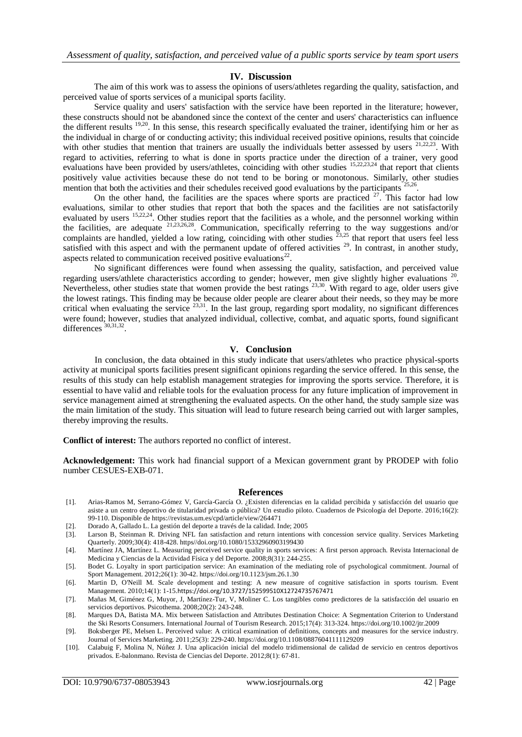### **IV. Discussion**

The aim of this work was to assess the opinions of users/athletes regarding the quality, satisfaction, and perceived value of sports services of a municipal sports facility.

Service quality and users' satisfaction with the service have been reported in the literature; however, these constructs should not be abandoned since the context of the center and users' characteristics can influence the different results <sup>19,20</sup>. In this sense, this research specifically evaluated the trainer, identifying him or her as the individual in charge of or conducting activity; this individual received positive opinions, results that coincide with other studies that mention that trainers are usually the individuals better assessed by users  $21,22,23$ . With regard to activities, referring to what is done in sports practice under the direction of a trainer, very good evaluations have been provided by users/athletes, coinciding with other studies <sup>15,22,23,24</sup> that report that clients positively value activities because these do not tend to be boring or monotonous. Similarly, other studies mention that both the activities and their schedules received good evaluations by the participants<sup>2</sup> .

On the other hand, the facilities are the spaces where sports are practiced  $27$ . This factor had low evaluations, similar to other studies that report that both the spaces and the facilities are not satisfactorily evaluated by users <sup>15,22,24</sup>. Other studies report that the facilities as a whole, and the personnel working within the facilities, are adequate  $21,23,26,28$ . Communication, specifically referring to the way suggestions and/or complaints are handled, yielded a low rating, coinciding with other studies  $^{23,25}$  that report that users feel less satisfied with this aspect and with the permanent update of offered activities  $29$ . In contrast, in another study, aspects related to communication received positive evaluations<sup>22</sup>.

No significant differences were found when assessing the quality, satisfaction, and perceived value regarding users/athlete characteristics according to gender; however, men give slightly higher evaluations<sup>20</sup> .<br>. Nevertheless, other studies state that women provide the best ratings  $^{23,30}$ . With regard to age, older users give the lowest ratings. This finding may be because older people are clearer about their needs, so they may be more critical when evaluating the service  $23,31$ . In the last group, regarding sport modality, no significant differences were found; however, studies that analyzed individual, collective, combat, and aquatic sports, found significant differences  $30,31,32$ .

#### **V. Conclusion**

In conclusion, the data obtained in this study indicate that users/athletes who practice physical-sports activity at municipal sports facilities present significant opinions regarding the service offered. In this sense, the results of this study can help establish management strategies for improving the sports service. Therefore, it is essential to have valid and reliable tools for the evaluation process for any future implication of improvement in service management aimed at strengthening the evaluated aspects. On the other hand, the study sample size was the main limitation of the study. This situation will lead to future research being carried out with larger samples, thereby improving the results.

**Conflict of interest:** The authors reported no conflict of interest.

**Acknowledgement:** This work had financial support of a Mexican government grant by PRODEP with folio number CESUES-EXB-071.

#### **References**

- [1]. Arias-Ramos M, Serrano-Gómez V, García-García O. ¿Existen diferencias en la calidad percibida y satisfacción del usuario que asiste a un centro deportivo de titularidad privada o pública? Un estudio piloto. Cuadernos de Psicología del Deporte. 2016;16(2): 99-110. Disponible de https://revistas.um.es/cpd/article/view/264471
- [2]. Dorado A, Gallado L. La gestión del deporte a través de la calidad. Inde; 2005
- [3]. Larson B, Steinman R. Driving NFL fan satisfaction and return intentions with concession service quality. Services Marketing Quarterly. 2009;30(4): 418-428. https//doi.org/10.1080/15332960903199430
- [4]. Martínez JA, Martínez L. Measuring perceived service quality in sports services: A first person approach. Revista Internacional de Medicina y Ciencias de la Actividad Física y del Deporte. 2008;8(31): 244-255.
- [5]. Bodet G. Loyalty in sport participation service: An examination of the mediating role of psychological commitment. Journal of Sport Management. 2012;26(1): 30-42.<https://doi.org/10.1123/jsm.26.1.30>
- [6]. Martin D, O'Neill M. Scale development and testing: A new measure of cognitive satisfaction in sports tourism. Event Management. 2010;14(1): 1-15.<https://doi.org/10.3727/152599510X12724735767471>
- [7]. Mañas M, Giménez G, Muyor, J, Martínez-Tur, V, Moliner C. Los tangibles como predictores de la satisfacción del usuario en servicios deportivos. Psicothema. 2008;20(2): 243-248.
- [8]. Marques DA, Batista MA. Mix between Satisfaction and Attributes Destination Choice: A Segmentation Criterion to Understand the Ski Resorts Consumers. International Journal of Tourism Research. 2015;17(4): 313-324. https://doi.org/10.1002/jtr.2009
- [9]. Boksberger PE, Melsen L. Perceived value: A critical examination of definitions, concepts and measures for the service industry. Journal of Services Marketing. 2011;25(3): 229-240. https://doi.org/10.1108/08876041111129209
- [10]. Calabuig F, Molina N, Núñez J. Una aplicación inicial del modelo tridimensional de calidad de servicio en centros deportivos privados. E-balonmano. Revista de Ciencias del Deporte. 2012;8(1): 67-81.